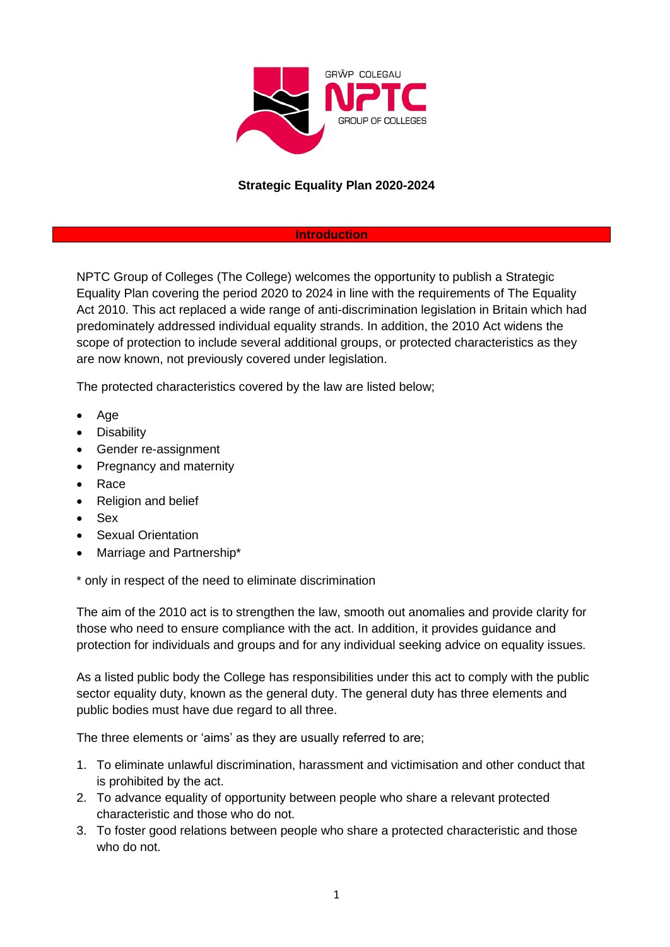

#### **Introduction**

NPTC Group of Colleges (The College) welcomes the opportunity to publish a Strategic Equality Plan covering the period 2020 to 2024 in line with the requirements of The Equality Act 2010. This act replaced a wide range of anti-discrimination legislation in Britain which had predominately addressed individual equality strands. In addition, the 2010 Act widens the scope of protection to include several additional groups, or protected characteristics as they are now known, not previously covered under legislation.

The protected characteristics covered by the law are listed below;

- Age
- **Disability**
- Gender re-assignment
- Pregnancy and maternity
- Race
- Religion and belief
- Sex
- **Sexual Orientation**
- Marriage and Partnership\*

\* only in respect of the need to eliminate discrimination

The aim of the 2010 act is to strengthen the law, smooth out anomalies and provide clarity for those who need to ensure compliance with the act. In addition, it provides guidance and protection for individuals and groups and for any individual seeking advice on equality issues.

As a listed public body the College has responsibilities under this act to comply with the public sector equality duty, known as the general duty. The general duty has three elements and public bodies must have due regard to all three.

The three elements or 'aims' as they are usually referred to are;

- 1. To eliminate unlawful discrimination, harassment and victimisation and other conduct that is prohibited by the act.
- 2. To advance equality of opportunity between people who share a relevant protected characteristic and those who do not.
- 3. To foster good relations between people who share a protected characteristic and those who do not.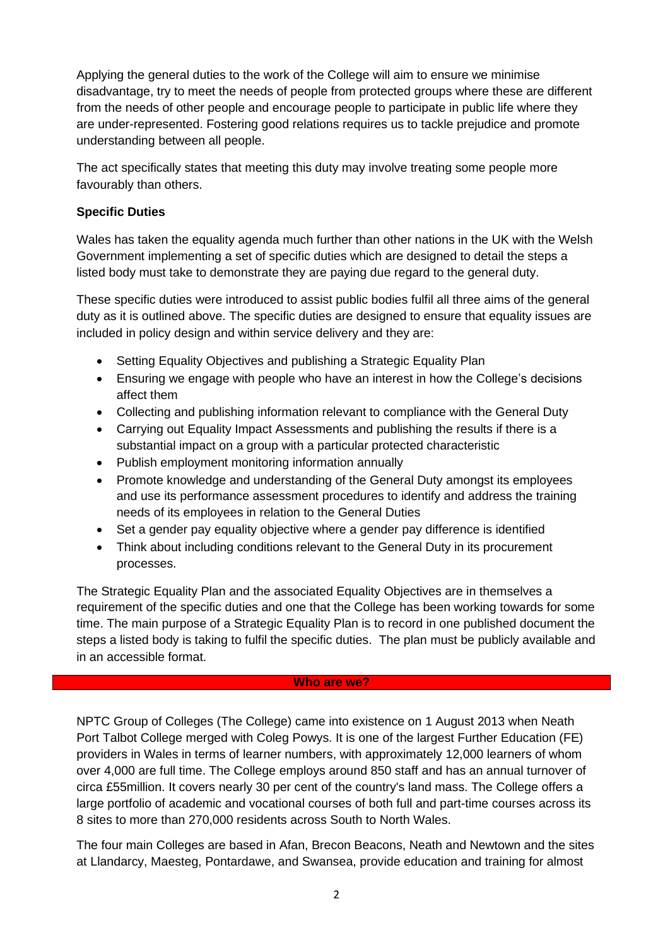Applying the general duties to the work of the College will aim to ensure we minimise disadvantage, try to meet the needs of people from protected groups where these are different from the needs of other people and encourage people to participate in public life where they are under-represented. Fostering good relations requires us to tackle prejudice and promote understanding between all people.

The act specifically states that meeting this duty may involve treating some people more favourably than others.

### **Specific Duties**

Wales has taken the equality agenda much further than other nations in the UK with the Welsh Government implementing a set of specific duties which are designed to detail the steps a listed body must take to demonstrate they are paying due regard to the general duty.

These specific duties were introduced to assist public bodies fulfil all three aims of the general duty as it is outlined above. The specific duties are designed to ensure that equality issues are included in policy design and within service delivery and they are:

- Setting Equality Objectives and publishing a Strategic Equality Plan
- Ensuring we engage with people who have an interest in how the College's decisions affect them
- Collecting and publishing information relevant to compliance with the General Duty
- Carrying out Equality Impact Assessments and publishing the results if there is a substantial impact on a group with a particular protected characteristic
- Publish employment monitoring information annually
- Promote knowledge and understanding of the General Duty amongst its employees and use its performance assessment procedures to identify and address the training needs of its employees in relation to the General Duties
- Set a gender pay equality objective where a gender pay difference is identified
- Think about including conditions relevant to the General Duty in its procurement processes.

The Strategic Equality Plan and the associated Equality Objectives are in themselves a requirement of the specific duties and one that the College has been working towards for some time. The main purpose of a Strategic Equality Plan is to record in one published document the steps a listed body is taking to fulfil the specific duties. The plan must be publicly available and in an accessible format.

#### **Who are we?**

NPTC Group of Colleges (The College) came into existence on 1 August 2013 when Neath Port Talbot College merged with Coleg Powys. It is one of the largest Further Education (FE) providers in Wales in terms of learner numbers, with approximately 12,000 learners of whom over 4,000 are full time. The College employs around 850 staff and has an annual turnover of circa £55million. It covers nearly 30 per cent of the country's land mass. The College offers a large portfolio of academic and vocational courses of both full and part-time courses across its 8 sites to more than 270,000 residents across South to North Wales.

The four main Colleges are based in Afan, Brecon Beacons, Neath and Newtown and the sites at Llandarcy, Maesteg, Pontardawe, and Swansea, provide education and training for almost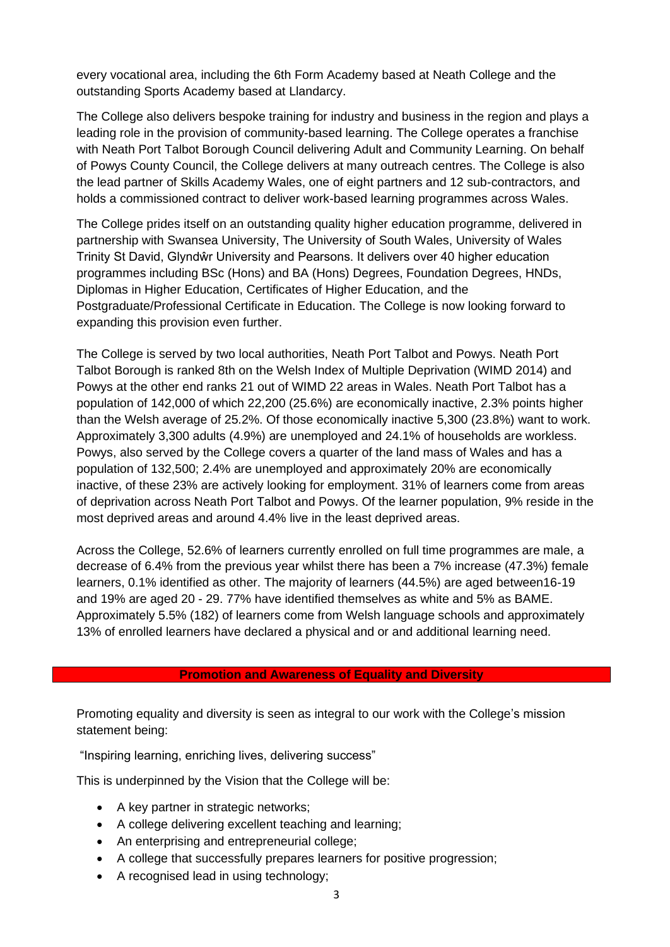every vocational area, including the 6th Form Academy based at Neath College and the outstanding Sports Academy based at Llandarcy.

The College also delivers bespoke training for industry and business in the region and plays a leading role in the provision of community-based learning. The College operates a franchise with Neath Port Talbot Borough Council delivering Adult and Community Learning. On behalf of Powys County Council, the College delivers at many outreach centres. The College is also the lead partner of Skills Academy Wales, one of eight partners and 12 sub-contractors, and holds a commissioned contract to deliver work-based learning programmes across Wales.

The College prides itself on an outstanding quality higher education programme, delivered in partnership with Swansea University, The University of South Wales, University of Wales Trinity St David, Glyndŵr University and Pearsons. It delivers over 40 higher education programmes including BSc (Hons) and BA (Hons) Degrees, Foundation Degrees, HNDs, Diplomas in Higher Education, Certificates of Higher Education, and the Postgraduate/Professional Certificate in Education. The College is now looking forward to expanding this provision even further.

The College is served by two local authorities, Neath Port Talbot and Powys. Neath Port Talbot Borough is ranked 8th on the Welsh Index of Multiple Deprivation (WIMD 2014) and Powys at the other end ranks 21 out of WIMD 22 areas in Wales. Neath Port Talbot has a population of 142,000 of which 22,200 (25.6%) are economically inactive, 2.3% points higher than the Welsh average of 25.2%. Of those economically inactive 5,300 (23.8%) want to work. Approximately 3,300 adults (4.9%) are unemployed and 24.1% of households are workless. Powys, also served by the College covers a quarter of the land mass of Wales and has a population of 132,500; 2.4% are unemployed and approximately 20% are economically inactive, of these 23% are actively looking for employment. 31% of learners come from areas of deprivation across Neath Port Talbot and Powys. Of the learner population, 9% reside in the most deprived areas and around 4.4% live in the least deprived areas.

Across the College, 52.6% of learners currently enrolled on full time programmes are male, a decrease of 6.4% from the previous year whilst there has been a 7% increase (47.3%) female learners, 0.1% identified as other. The majority of learners (44.5%) are aged between16-19 and 19% are aged 20 - 29. 77% have identified themselves as white and 5% as BAME. Approximately 5.5% (182) of learners come from Welsh language schools and approximately 13% of enrolled learners have declared a physical and or and additional learning need.

#### **Promotion and Awareness of Equality and Diversity**

Promoting equality and diversity is seen as integral to our work with the College's mission statement being:

"Inspiring learning, enriching lives, delivering success"

This is underpinned by the Vision that the College will be:

- A key partner in strategic networks;
- A college delivering excellent teaching and learning;
- An enterprising and entrepreneurial college;
- A college that successfully prepares learners for positive progression;
- A recognised lead in using technology;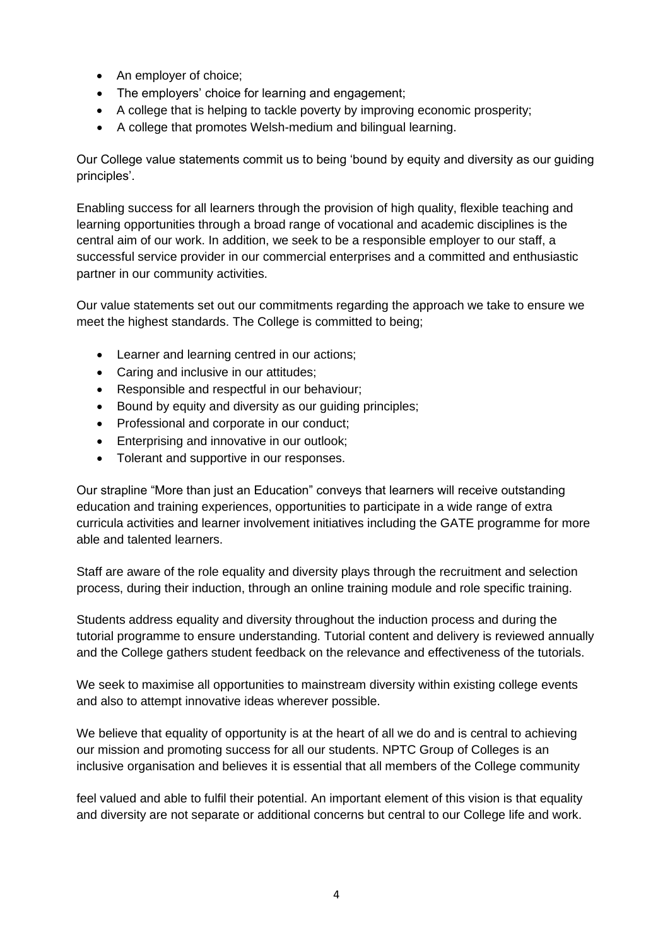- An employer of choice;
- The employers' choice for learning and engagement;
- A college that is helping to tackle poverty by improving economic prosperity;
- A college that promotes Welsh-medium and bilingual learning.

Our College value statements commit us to being 'bound by equity and diversity as our guiding principles'.

Enabling success for all learners through the provision of high quality, flexible teaching and learning opportunities through a broad range of vocational and academic disciplines is the central aim of our work. In addition, we seek to be a responsible employer to our staff, a successful service provider in our commercial enterprises and a committed and enthusiastic partner in our community activities.

Our value statements set out our commitments regarding the approach we take to ensure we meet the highest standards. The College is committed to being;

- Learner and learning centred in our actions;
- Caring and inclusive in our attitudes;
- Responsible and respectful in our behaviour;
- Bound by equity and diversity as our guiding principles;
- Professional and corporate in our conduct;
- Enterprising and innovative in our outlook;
- Tolerant and supportive in our responses.

Our strapline "More than just an Education" conveys that learners will receive outstanding education and training experiences, opportunities to participate in a wide range of extra curricula activities and learner involvement initiatives including the GATE programme for more able and talented learners.

Staff are aware of the role equality and diversity plays through the recruitment and selection process, during their induction, through an online training module and role specific training.

Students address equality and diversity throughout the induction process and during the tutorial programme to ensure understanding. Tutorial content and delivery is reviewed annually and the College gathers student feedback on the relevance and effectiveness of the tutorials.

We seek to maximise all opportunities to mainstream diversity within existing college events and also to attempt innovative ideas wherever possible.

We believe that equality of opportunity is at the heart of all we do and is central to achieving our mission and promoting success for all our students. NPTC Group of Colleges is an inclusive organisation and believes it is essential that all members of the College community

feel valued and able to fulfil their potential. An important element of this vision is that equality and diversity are not separate or additional concerns but central to our College life and work.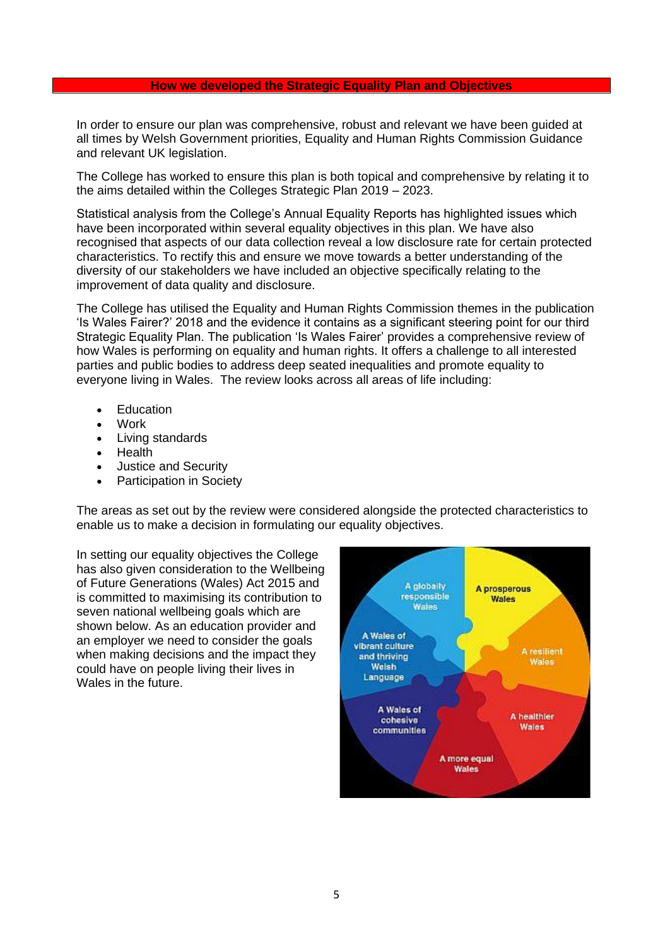#### **How we developed the Strategic Equality Plan and Objectives**

In order to ensure our plan was comprehensive, robust and relevant we have been guided at all times by Welsh Government priorities, Equality and Human Rights Commission Guidance and relevant UK legislation.

The College has worked to ensure this plan is both topical and comprehensive by relating it to the aims detailed within the Colleges Strategic Plan 2019 – 2023.

Statistical analysis from the College's Annual Equality Reports has highlighted issues which have been incorporated within several equality objectives in this plan. We have also recognised that aspects of our data collection reveal a low disclosure rate for certain protected characteristics. To rectify this and ensure we move towards a better understanding of the diversity of our stakeholders we have included an objective specifically relating to the improvement of data quality and disclosure.

The College has utilised the Equality and Human Rights Commission themes in the publication 'Is Wales Fairer?' 2018 and the evidence it contains as a significant steering point for our third Strategic Equality Plan. The publication 'Is Wales Fairer' provides a comprehensive review of how Wales is performing on equality and human rights. It offers a challenge to all interested parties and public bodies to address deep seated inequalities and promote equality to everyone living in Wales. The review looks across all areas of life including:

- **Education**
- Work
- Living standards
- Health
- Justice and Security
- Participation in Society

The areas as set out by the review were considered alongside the protected characteristics to enable us to make a decision in formulating our equality objectives.

In setting our equality objectives the College has also given consideration to the Wellbeing of Future Generations (Wales) Act 2015 and is committed to maximising its contribution to seven national wellbeing goals which are shown below. As an education provider and an employer we need to consider the goals when making decisions and the impact they could have on people living their lives in Wales in the future.

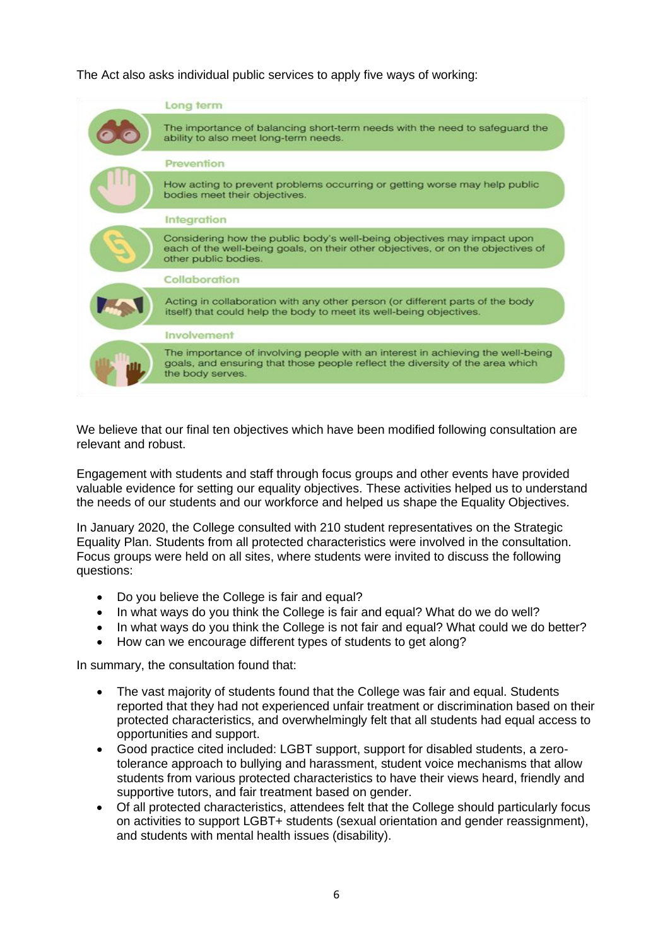The Act also asks individual public services to apply five ways of working:



We believe that our final ten objectives which have been modified following consultation are relevant and robust.

Engagement with students and staff through focus groups and other events have provided valuable evidence for setting our equality objectives. These activities helped us to understand the needs of our students and our workforce and helped us shape the Equality Objectives.

In January 2020, the College consulted with 210 student representatives on the Strategic Equality Plan. Students from all protected characteristics were involved in the consultation. Focus groups were held on all sites, where students were invited to discuss the following questions:

- Do you believe the College is fair and equal?
- In what ways do you think the College is fair and equal? What do we do well?
- In what ways do you think the College is not fair and equal? What could we do better?
- How can we encourage different types of students to get along?

In summary, the consultation found that:

- The vast majority of students found that the College was fair and equal. Students reported that they had not experienced unfair treatment or discrimination based on their protected characteristics, and overwhelmingly felt that all students had equal access to opportunities and support.
- Good practice cited included: LGBT support, support for disabled students, a zerotolerance approach to bullying and harassment, student voice mechanisms that allow students from various protected characteristics to have their views heard, friendly and supportive tutors, and fair treatment based on gender.
- Of all protected characteristics, attendees felt that the College should particularly focus on activities to support LGBT+ students (sexual orientation and gender reassignment), and students with mental health issues (disability).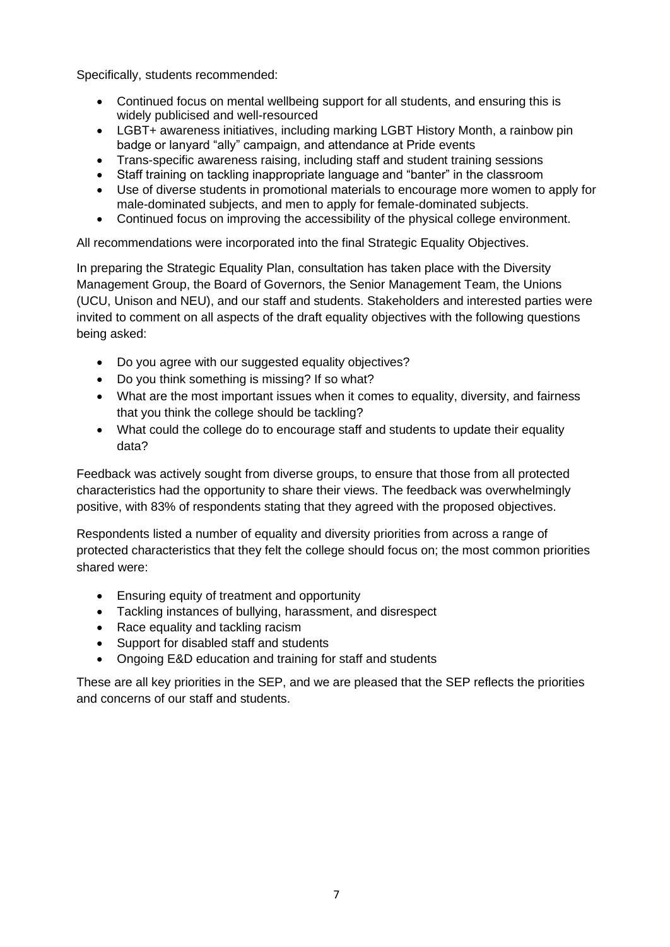Specifically, students recommended:

- Continued focus on mental wellbeing support for all students, and ensuring this is widely publicised and well-resourced
- LGBT+ awareness initiatives, including marking LGBT History Month, a rainbow pin badge or lanyard "ally" campaign, and attendance at Pride events
- Trans-specific awareness raising, including staff and student training sessions
- Staff training on tackling inappropriate language and "banter" in the classroom
- Use of diverse students in promotional materials to encourage more women to apply for male-dominated subjects, and men to apply for female-dominated subjects.
- Continued focus on improving the accessibility of the physical college environment.

All recommendations were incorporated into the final Strategic Equality Objectives.

In preparing the Strategic Equality Plan, consultation has taken place with the Diversity Management Group, the Board of Governors, the Senior Management Team, the Unions (UCU, Unison and NEU), and our staff and students. Stakeholders and interested parties were invited to comment on all aspects of the draft equality objectives with the following questions being asked:

- Do you agree with our suggested equality objectives?
- Do you think something is missing? If so what?
- What are the most important issues when it comes to equality, diversity, and fairness that you think the college should be tackling?
- What could the college do to encourage staff and students to update their equality data?

Feedback was actively sought from diverse groups, to ensure that those from all protected characteristics had the opportunity to share their views. The feedback was overwhelmingly positive, with 83% of respondents stating that they agreed with the proposed objectives.

Respondents listed a number of equality and diversity priorities from across a range of protected characteristics that they felt the college should focus on; the most common priorities shared were:

- Ensuring equity of treatment and opportunity
- Tackling instances of bullying, harassment, and disrespect
- Race equality and tackling racism
- Support for disabled staff and students
- Ongoing E&D education and training for staff and students

These are all key priorities in the SEP, and we are pleased that the SEP reflects the priorities and concerns of our staff and students.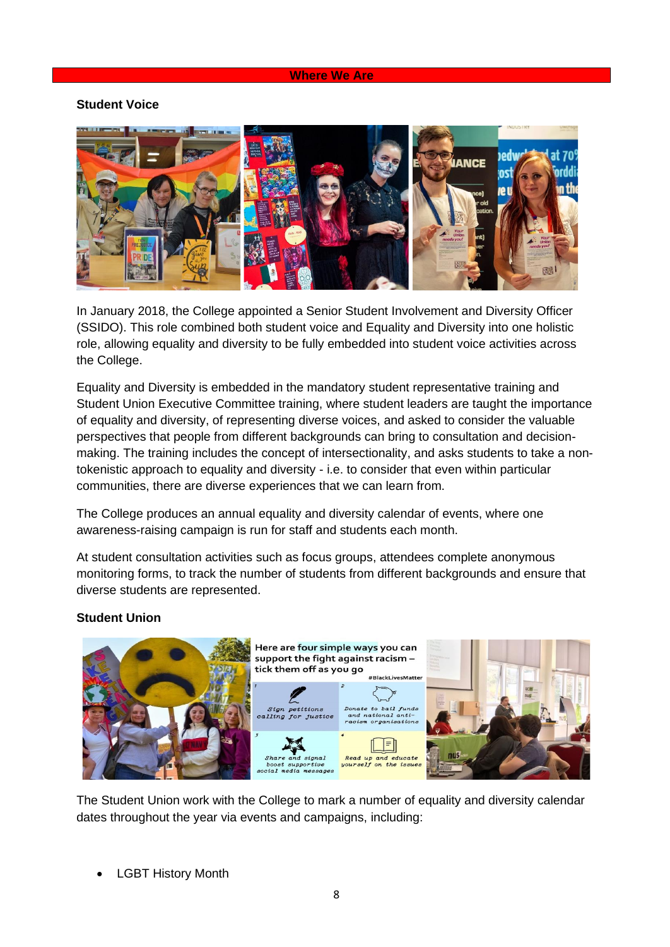#### **Where We Are**

#### **Student Voice**



In January 2018, the College appointed a Senior Student Involvement and Diversity Officer (SSIDO). This role combined both student voice and Equality and Diversity into one holistic role, allowing equality and diversity to be fully embedded into student voice activities across the College.

Equality and Diversity is embedded in the mandatory student representative training and Student Union Executive Committee training, where student leaders are taught the importance of equality and diversity, of representing diverse voices, and asked to consider the valuable perspectives that people from different backgrounds can bring to consultation and decisionmaking. The training includes the concept of intersectionality, and asks students to take a nontokenistic approach to equality and diversity - i.e. to consider that even within particular communities, there are diverse experiences that we can learn from.

The College produces an annual equality and diversity calendar of events, where one awareness-raising campaign is run for staff and students each month.

At student consultation activities such as focus groups, attendees complete anonymous monitoring forms, to track the number of students from different backgrounds and ensure that diverse students are represented.

#### **Student Union**



The Student Union work with the College to mark a number of equality and diversity calendar dates throughout the year via events and campaigns, including:

• LGBT History Month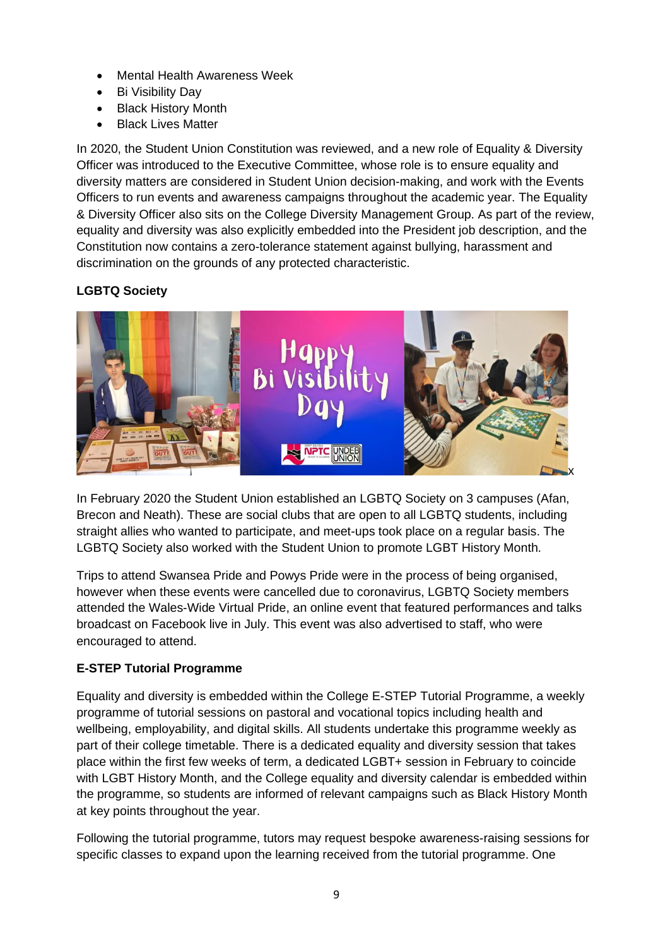- Mental Health Awareness Week
- Bi Visibility Day
- Black History Month
- Black Lives Matter

In 2020, the Student Union Constitution was reviewed, and a new role of Equality & Diversity Officer was introduced to the Executive Committee, whose role is to ensure equality and diversity matters are considered in Student Union decision-making, and work with the Events Officers to run events and awareness campaigns throughout the academic year. The Equality & Diversity Officer also sits on the College Diversity Management Group. As part of the review, equality and diversity was also explicitly embedded into the President job description, and the Constitution now contains a zero-tolerance statement against bullying, harassment and discrimination on the grounds of any protected characteristic.

## **LGBTQ Society**



In February 2020 the Student Union established an LGBTQ Society on 3 campuses (Afan, Brecon and Neath). These are social clubs that are open to all LGBTQ students, including straight allies who wanted to participate, and meet-ups took place on a regular basis. The LGBTQ Society also worked with the Student Union to promote LGBT History Month.

Trips to attend Swansea Pride and Powys Pride were in the process of being organised, however when these events were cancelled due to coronavirus, LGBTQ Society members attended the Wales-Wide Virtual Pride, an online event that featured performances and talks broadcast on Facebook live in July. This event was also advertised to staff, who were encouraged to attend.

## **E-STEP Tutorial Programme**

Equality and diversity is embedded within the College E-STEP Tutorial Programme, a weekly programme of tutorial sessions on pastoral and vocational topics including health and wellbeing, employability, and digital skills. All students undertake this programme weekly as part of their college timetable. There is a dedicated equality and diversity session that takes place within the first few weeks of term, a dedicated LGBT+ session in February to coincide with LGBT History Month, and the College equality and diversity calendar is embedded within the programme, so students are informed of relevant campaigns such as Black History Month at key points throughout the year.

Following the tutorial programme, tutors may request bespoke awareness-raising sessions for specific classes to expand upon the learning received from the tutorial programme. One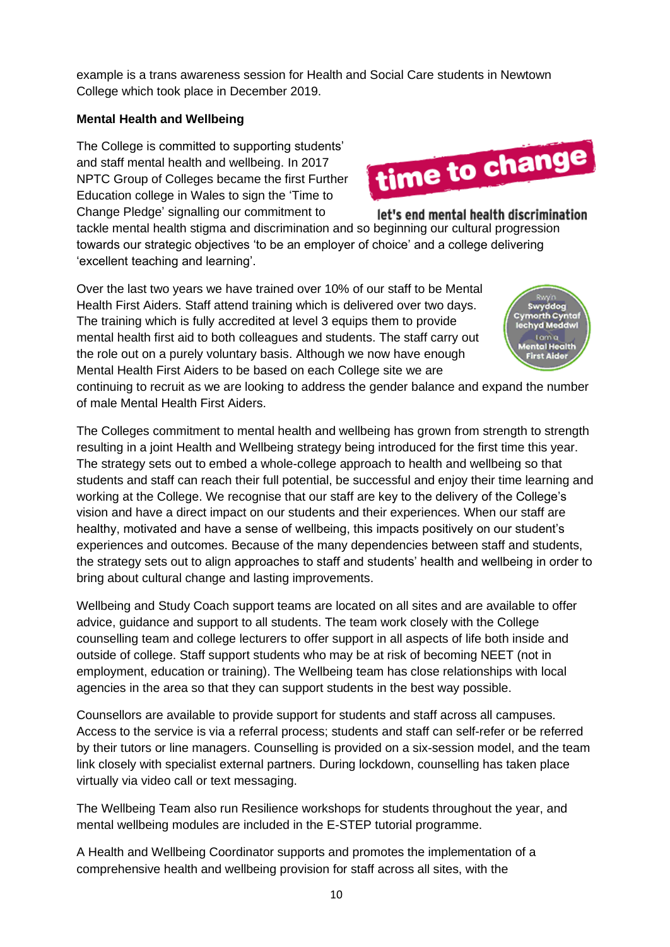example is a trans awareness session for Health and Social Care students in Newtown College which took place in December 2019.

## **Mental Health and Wellbeing**

The College is committed to supporting students' and staff mental health and wellbeing. In 2017 NPTC Group of Colleges became the first Further Education college in Wales to sign the 'Time to Change Pledge' signalling our commitment to

let's end mental health discrimination tackle mental health stigma and discrimination and so beginning our cultural progression towards our strategic objectives 'to be an employer of choice' and a college delivering 'excellent teaching and learning'.

Over the last two years we have trained over 10% of our staff to be Mental Health First Aiders. Staff attend training which is delivered over two days. The training which is fully accredited at level 3 equips them to provide mental health first aid to both colleagues and students. The staff carry out the role out on a purely voluntary basis. Although we now have enough Mental Health First Aiders to be based on each College site we are

continuing to recruit as we are looking to address the gender balance and expand the number of male Mental Health First Aiders.

The Colleges commitment to mental health and wellbeing has grown from strength to strength resulting in a joint Health and Wellbeing strategy being introduced for the first time this year. The strategy sets out to embed a whole-college approach to health and wellbeing so that students and staff can reach their full potential, be successful and enjoy their time learning and working at the College. We recognise that our staff are key to the delivery of the College's vision and have a direct impact on our students and their experiences. When our staff are healthy, motivated and have a sense of wellbeing, this impacts positively on our student's experiences and outcomes. Because of the many dependencies between staff and students, the strategy sets out to align approaches to staff and students' health and wellbeing in order to bring about cultural change and lasting improvements.

Wellbeing and Study Coach support teams are located on all sites and are available to offer advice, guidance and support to all students. The team work closely with the College counselling team and college lecturers to offer support in all aspects of life both inside and outside of college. Staff support students who may be at risk of becoming NEET (not in employment, education or training). The Wellbeing team has close relationships with local agencies in the area so that they can support students in the best way possible.

Counsellors are available to provide support for students and staff across all campuses. Access to the service is via a referral process; students and staff can self-refer or be referred by their tutors or line managers. Counselling is provided on a six-session model, and the team link closely with specialist external partners. During lockdown, counselling has taken place virtually via video call or text messaging.

The Wellbeing Team also run Resilience workshops for students throughout the year, and mental wellbeing modules are included in the E-STEP tutorial programme.

A Health and Wellbeing Coordinator supports and promotes the implementation of a comprehensive health and wellbeing provision for staff across all sites, with the



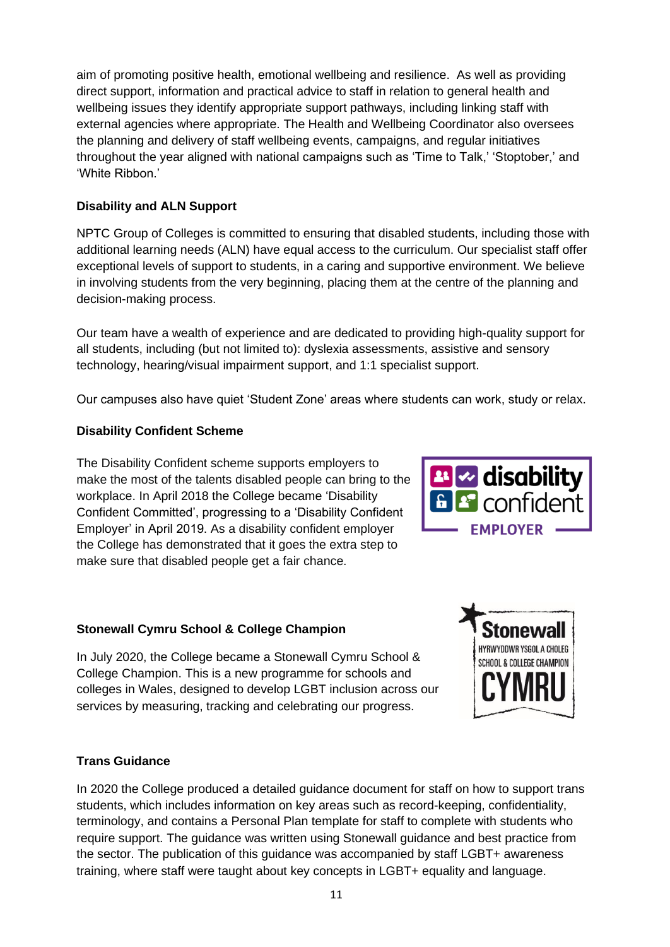aim of promoting positive health, emotional wellbeing and resilience. As well as providing direct support, information and practical advice to staff in relation to general health and wellbeing issues they identify appropriate support pathways, including linking staff with external agencies where appropriate. The Health and Wellbeing Coordinator also oversees the planning and delivery of staff wellbeing events, campaigns, and regular initiatives throughout the year aligned with national campaigns such as 'Time to Talk,' 'Stoptober,' and 'White Ribbon.'

## **Disability and ALN Support**

NPTC Group of Colleges is committed to ensuring that disabled students, including those with additional learning needs (ALN) have equal access to the curriculum. Our specialist staff offer exceptional levels of support to students, in a caring and supportive environment. We believe in involving students from the very beginning, placing them at the centre of the planning and decision-making process.

Our team have a wealth of experience and are dedicated to providing high-quality support for all students, including (but not limited to): dyslexia assessments, assistive and sensory technology, hearing/visual impairment support, and 1:1 specialist support.

Our campuses also have quiet 'Student Zone' areas where students can work, study or relax.

## **Disability Confident Scheme**

The Disability Confident scheme supports employers to make the most of the talents disabled people can bring to the workplace. In April 2018 the College became 'Disability Confident Committed', progressing to a 'Disability Confident Employer' in April 2019. As a disability confident employer the College has demonstrated that it goes the extra step to make sure that disabled people get a fair chance.

## **Stonewall Cymru School & College Champion**

In July 2020, the College became a Stonewall Cymru School & College Champion. This is a new programme for schools and colleges in Wales, designed to develop LGBT inclusion across our services by measuring, tracking and celebrating our progress.

# **B** disability <sup>2</sup> confident **EMPLOYER**



## **Trans Guidance**

In 2020 the College produced a detailed guidance document for staff on how to support trans students, which includes information on key areas such as record-keeping, confidentiality, terminology, and contains a Personal Plan template for staff to complete with students who require support. The guidance was written using Stonewall guidance and best practice from the sector. The publication of this guidance was accompanied by staff LGBT+ awareness training, where staff were taught about key concepts in LGBT+ equality and language.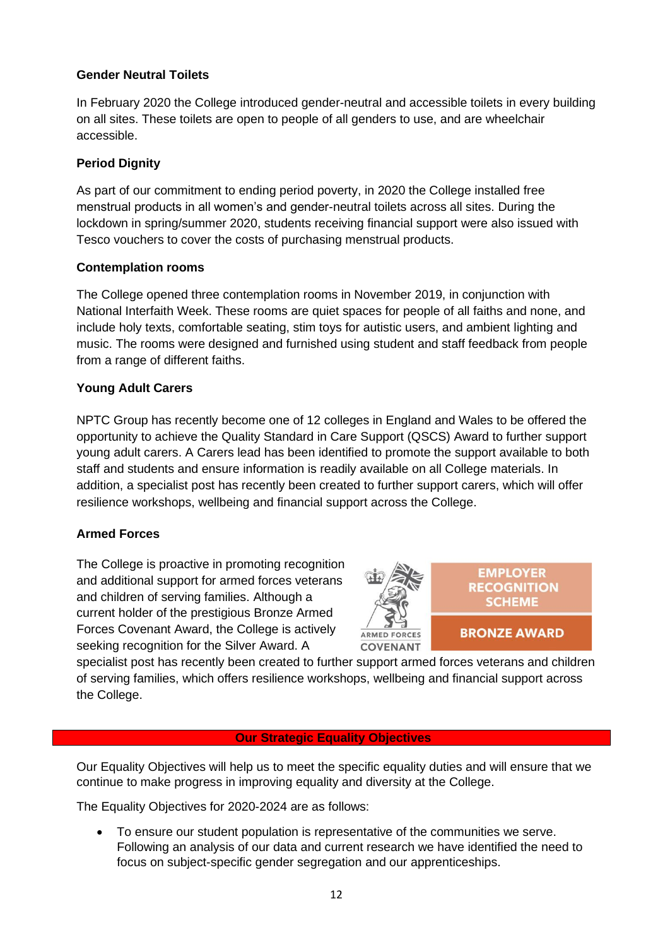### **Gender Neutral Toilets**

In February 2020 the College introduced gender-neutral and accessible toilets in every building on all sites. These toilets are open to people of all genders to use, and are wheelchair accessible.

### **Period Dignity**

As part of our commitment to ending period poverty, in 2020 the College installed free menstrual products in all women's and gender-neutral toilets across all sites. During the lockdown in spring/summer 2020, students receiving financial support were also issued with Tesco vouchers to cover the costs of purchasing menstrual products.

#### **Contemplation rooms**

The College opened three contemplation rooms in November 2019, in conjunction with National Interfaith Week. These rooms are quiet spaces for people of all faiths and none, and include holy texts, comfortable seating, stim toys for autistic users, and ambient lighting and music. The rooms were designed and furnished using student and staff feedback from people from a range of different faiths.

## **Young Adult Carers**

NPTC Group has recently become one of 12 colleges in England and Wales to be offered the opportunity to achieve the Quality Standard in Care Support (QSCS) Award to further support young adult carers. A Carers lead has been identified to promote the support available to both staff and students and ensure information is readily available on all College materials. In addition, a specialist post has recently been created to further support carers, which will offer resilience workshops, wellbeing and financial support across the College.

#### **Armed Forces**

The College is proactive in promoting recognition and additional support for armed forces veterans and children of serving families. Although a current holder of the prestigious Bronze Armed Forces Covenant Award, the College is actively seeking recognition for the Silver Award. A



specialist post has recently been created to further support armed forces veterans and children of serving families, which offers resilience workshops, wellbeing and financial support across the College.

## **Our Strategic Equality Objectives**

Our Equality Objectives will help us to meet the specific equality duties and will ensure that we continue to make progress in improving equality and diversity at the College.

The Equality Objectives for 2020-2024 are as follows:

• To ensure our student population is representative of the communities we serve. Following an analysis of our data and current research we have identified the need to focus on subject-specific gender segregation and our apprenticeships.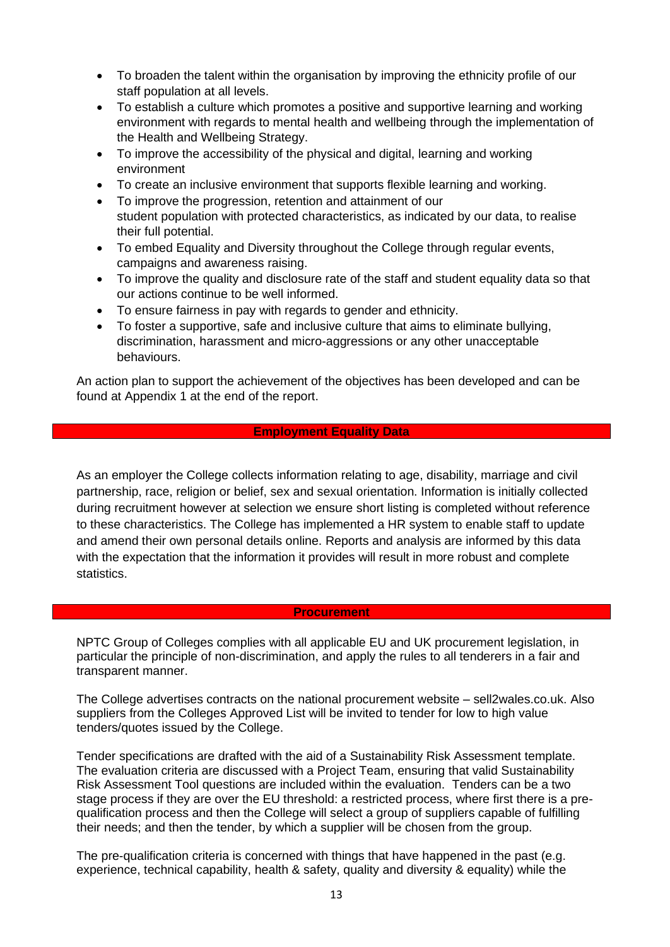- To broaden the talent within the organisation by improving the ethnicity profile of our staff population at all levels.
- To establish a culture which promotes a positive and supportive learning and working environment with regards to mental health and wellbeing through the implementation of the Health and Wellbeing Strategy.
- To improve the accessibility of the physical and digital, learning and working environment
- To create an inclusive environment that supports flexible learning and working.
- To improve the progression, retention and attainment of our student population with protected characteristics, as indicated by our data, to realise their full potential.
- To embed Equality and Diversity throughout the College through regular events, campaigns and awareness raising.
- To improve the quality and disclosure rate of the staff and student equality data so that our actions continue to be well informed.
- To ensure fairness in pay with regards to gender and ethnicity.
- To foster a supportive, safe and inclusive culture that aims to eliminate bullying, discrimination, harassment and micro-aggressions or any other unacceptable behaviours.

An action plan to support the achievement of the objectives has been developed and can be found at Appendix 1 at the end of the report.

#### **Employment Equality Data**

As an employer the College collects information relating to age, disability, marriage and civil partnership, race, religion or belief, sex and sexual orientation. Information is initially collected during recruitment however at selection we ensure short listing is completed without reference to these characteristics. The College has implemented a HR system to enable staff to update and amend their own personal details online. Reports and analysis are informed by this data with the expectation that the information it provides will result in more robust and complete statistics.

#### **Procurement**

NPTC Group of Colleges complies with all applicable EU and UK procurement legislation, in particular the principle of non-discrimination, and apply the rules to all tenderers in a fair and transparent manner.

The College advertises contracts on the national procurement website – sell2wales.co.uk. Also suppliers from the Colleges Approved List will be invited to tender for low to high value tenders/quotes issued by the College.

Tender specifications are drafted with the aid of a Sustainability Risk Assessment template. The evaluation criteria are discussed with a Project Team, ensuring that valid Sustainability Risk Assessment Tool questions are included within the evaluation. Tenders can be a two stage process if they are over the EU threshold: a restricted process, where first there is a prequalification process and then the College will select a group of suppliers capable of fulfilling their needs; and then the tender, by which a supplier will be chosen from the group.

The pre-qualification criteria is concerned with things that have happened in the past (e.g. experience, technical capability, health & safety, quality and diversity & equality) while the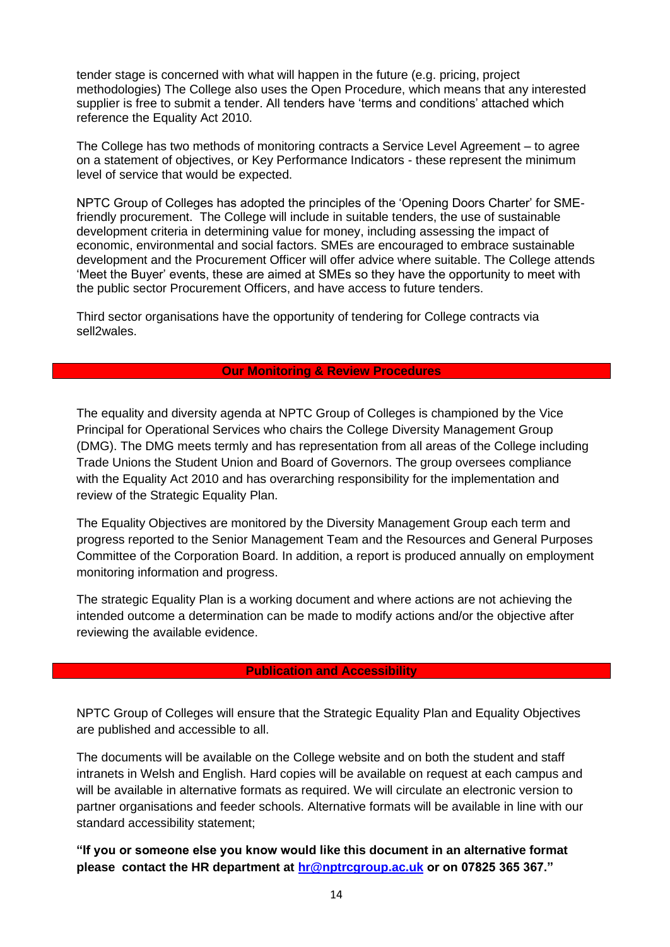tender stage is concerned with what will happen in the future (e.g. pricing, project methodologies) The College also uses the Open Procedure, which means that any interested supplier is free to submit a tender. All tenders have 'terms and conditions' attached which reference the Equality Act 2010.

The College has two methods of monitoring contracts a Service Level Agreement – to agree on a statement of objectives, or Key Performance Indicators - these represent the minimum level of service that would be expected.

NPTC Group of Colleges has adopted the principles of the 'Opening Doors Charter' for SMEfriendly procurement. The College will include in suitable tenders, the use of sustainable development criteria in determining value for money, including assessing the impact of economic, environmental and social factors. SMEs are encouraged to embrace sustainable development and the Procurement Officer will offer advice where suitable. The College attends 'Meet the Buyer' events, these are aimed at SMEs so they have the opportunity to meet with the public sector Procurement Officers, and have access to future tenders.

Third sector organisations have the opportunity of tendering for College contracts via sell2wales.

#### **Our Monitoring & Review Procedures**

The equality and diversity agenda at NPTC Group of Colleges is championed by the Vice Principal for Operational Services who chairs the College Diversity Management Group (DMG). The DMG meets termly and has representation from all areas of the College including Trade Unions the Student Union and Board of Governors. The group oversees compliance with the Equality Act 2010 and has overarching responsibility for the implementation and review of the Strategic Equality Plan.

The Equality Objectives are monitored by the Diversity Management Group each term and progress reported to the Senior Management Team and the Resources and General Purposes Committee of the Corporation Board. In addition, a report is produced annually on employment monitoring information and progress.

The strategic Equality Plan is a working document and where actions are not achieving the intended outcome a determination can be made to modify actions and/or the objective after reviewing the available evidence.

#### **Publication and Accessibility**

NPTC Group of Colleges will ensure that the Strategic Equality Plan and Equality Objectives are published and accessible to all.

The documents will be available on the College website and on both the student and staff intranets in Welsh and English. Hard copies will be available on request at each campus and will be available in alternative formats as required. We will circulate an electronic version to partner organisations and feeder schools. Alternative formats will be available in line with our standard accessibility statement;

**"If you or someone else you know would like this document in an alternative format please contact the HR department at [hr@nptrcgroup.ac.uk](mailto:hr@nptrcgroup.ac.uk) or on 07825 365 367."**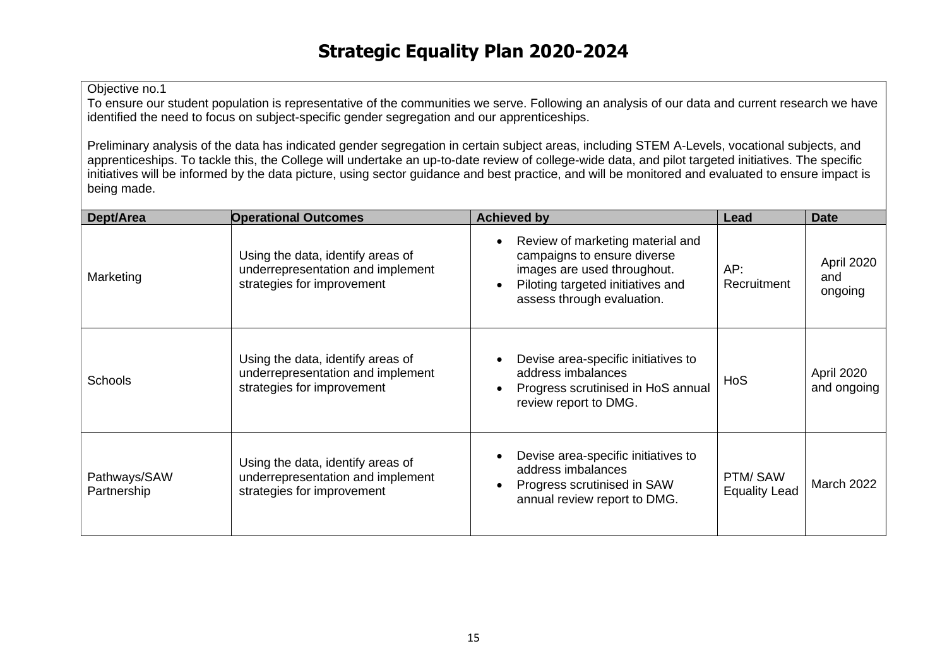To ensure our student population is representative of the communities we serve. Following an analysis of our data and current research we have identified the need to focus on subject-specific gender segregation and our apprenticeships.

Preliminary analysis of the data has indicated gender segregation in certain subject areas, including STEM A-Levels, vocational subjects, and apprenticeships. To tackle this, the College will undertake an up-to-date review of college-wide data, and pilot targeted initiatives. The specific initiatives will be informed by the data picture, using sector guidance and best practice, and will be monitored and evaluated to ensure impact is being made.

| Dept/Area                   | <b>Operational Outcomes</b>                                                                          | <b>Achieved by</b>                                                                                                                                                | Lead                            | <b>Date</b>                  |
|-----------------------------|------------------------------------------------------------------------------------------------------|-------------------------------------------------------------------------------------------------------------------------------------------------------------------|---------------------------------|------------------------------|
| Marketing                   | Using the data, identify areas of<br>underrepresentation and implement<br>strategies for improvement | Review of marketing material and<br>campaigns to ensure diverse<br>images are used throughout.<br>Piloting targeted initiatives and<br>assess through evaluation. | AP:<br>Recruitment              | April 2020<br>and<br>ongoing |
| <b>Schools</b>              | Using the data, identify areas of<br>underrepresentation and implement<br>strategies for improvement | Devise area-specific initiatives to<br>address imbalances<br>Progress scrutinised in HoS annual<br>review report to DMG.                                          | HoS                             | April 2020<br>and ongoing    |
| Pathways/SAW<br>Partnership | Using the data, identify areas of<br>underrepresentation and implement<br>strategies for improvement | Devise area-specific initiatives to<br>address imbalances<br>Progress scrutinised in SAW<br>annual review report to DMG.                                          | PTM/SAW<br><b>Equality Lead</b> | <b>March 2022</b>            |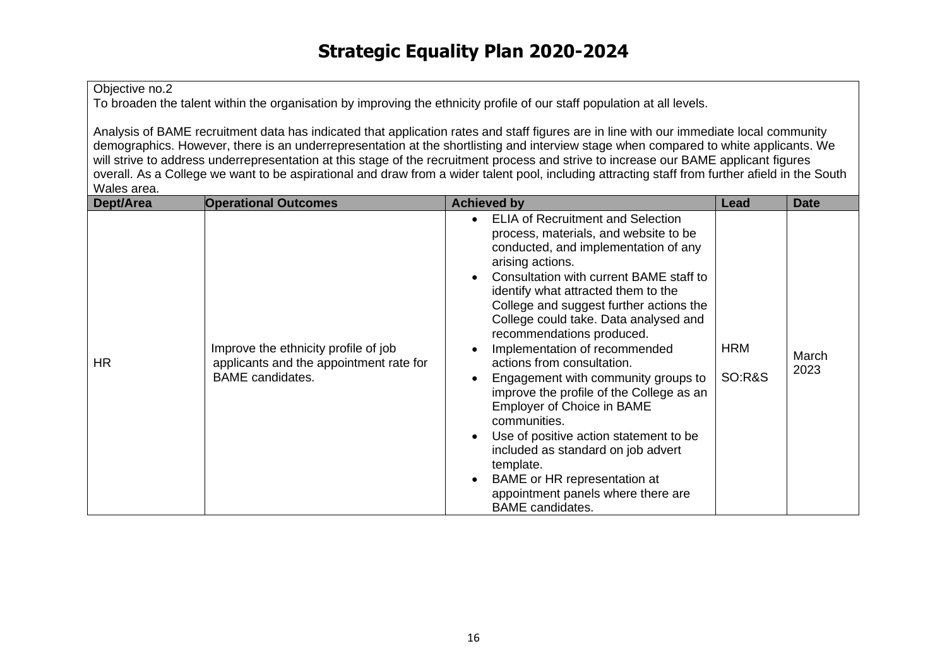To broaden the talent within the organisation by improving the ethnicity profile of our staff population at all levels.

Analysis of BAME recruitment data has indicated that application rates and staff figures are in line with our immediate local community demographics. However, there is an underrepresentation at the shortlisting and interview stage when compared to white applicants. We will strive to address underrepresentation at this stage of the recruitment process and strive to increase our BAME applicant figures overall. As a College we want to be aspirational and draw from a wider talent pool, including attracting staff from further afield in the South Wales area.

| Dept/Area | <b>Operational Outcomes</b>                                                                                | <b>Achieved by</b>                                                                                                                                                                                                                                                                                                                                                                                                                                                                                                                                                                                                                                                                                                                                                                    | Lead                            | <b>Date</b>   |
|-----------|------------------------------------------------------------------------------------------------------------|---------------------------------------------------------------------------------------------------------------------------------------------------------------------------------------------------------------------------------------------------------------------------------------------------------------------------------------------------------------------------------------------------------------------------------------------------------------------------------------------------------------------------------------------------------------------------------------------------------------------------------------------------------------------------------------------------------------------------------------------------------------------------------------|---------------------------------|---------------|
| <b>HR</b> | Improve the ethnicity profile of job<br>applicants and the appointment rate for<br><b>BAME</b> candidates. | <b>ELIA of Recruitment and Selection</b><br>$\bullet$<br>process, materials, and website to be<br>conducted, and implementation of any<br>arising actions.<br>Consultation with current BAME staff to<br>identify what attracted them to the<br>College and suggest further actions the<br>College could take. Data analysed and<br>recommendations produced.<br>Implementation of recommended<br>actions from consultation.<br>Engagement with community groups to<br>improve the profile of the College as an<br>Employer of Choice in BAME<br>communities.<br>Use of positive action statement to be<br>$\bullet$<br>included as standard on job advert<br>template.<br>BAME or HR representation at<br>$\bullet$<br>appointment panels where there are<br><b>BAME</b> candidates. | <b>HRM</b><br><b>SO:R&amp;S</b> | March<br>2023 |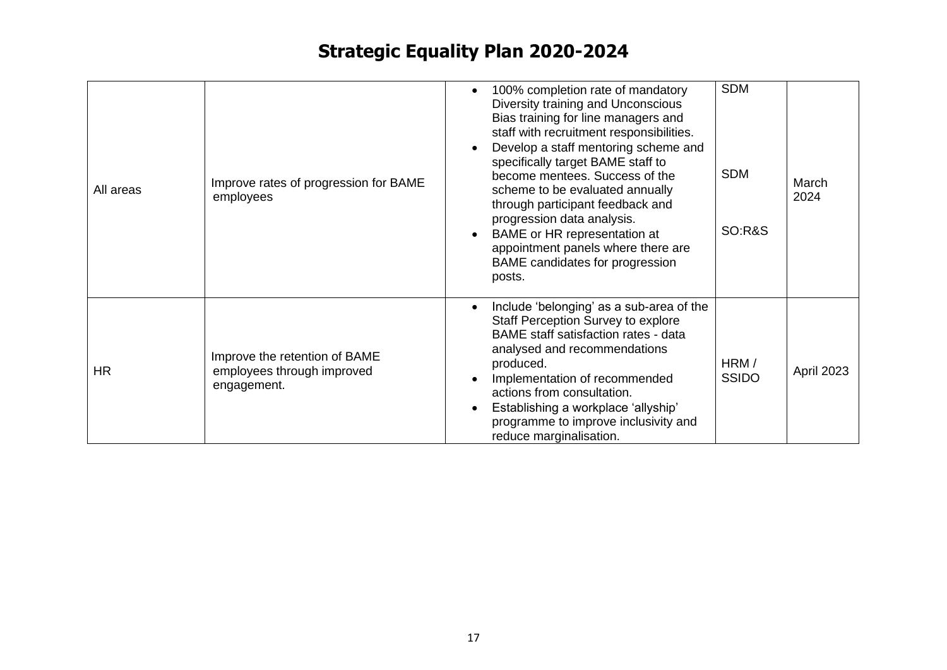| All areas | Improve rates of progression for BAME<br>employees                         | 100% completion rate of mandatory<br>$\bullet$<br>Diversity training and Unconscious<br>Bias training for line managers and<br>staff with recruitment responsibilities.<br>Develop a staff mentoring scheme and<br>$\bullet$<br>specifically target BAME staff to<br>become mentees. Success of the<br>scheme to be evaluated annually<br>through participant feedback and<br>progression data analysis.<br>BAME or HR representation at<br>$\bullet$<br>appointment panels where there are<br>BAME candidates for progression<br>posts. | <b>SDM</b><br><b>SDM</b><br><b>SO:R&amp;S</b> | March<br>2024 |
|-----------|----------------------------------------------------------------------------|------------------------------------------------------------------------------------------------------------------------------------------------------------------------------------------------------------------------------------------------------------------------------------------------------------------------------------------------------------------------------------------------------------------------------------------------------------------------------------------------------------------------------------------|-----------------------------------------------|---------------|
| <b>HR</b> | Improve the retention of BAME<br>employees through improved<br>engagement. | Include 'belonging' as a sub-area of the<br>$\bullet$<br><b>Staff Perception Survey to explore</b><br>BAME staff satisfaction rates - data<br>analysed and recommendations<br>produced.<br>Implementation of recommended<br>$\bullet$<br>actions from consultation.<br>Establishing a workplace 'allyship'<br>$\bullet$<br>programme to improve inclusivity and<br>reduce marginalisation.                                                                                                                                               | HRM/<br><b>SSIDO</b>                          | April 2023    |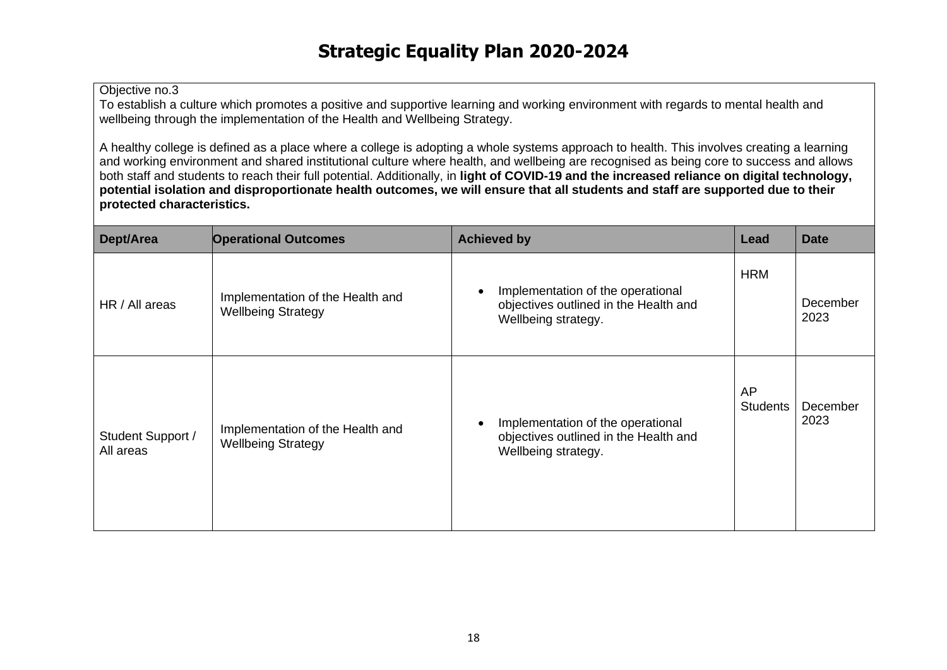To establish a culture which promotes a positive and supportive learning and working environment with regards to mental health and wellbeing through the implementation of the Health and Wellbeing Strategy.

A healthy college is defined as a place where a college is adopting a whole systems approach to health. This involves creating a learning and working environment and shared institutional culture where health, and wellbeing are recognised as being core to success and allows both staff and students to reach their full potential. Additionally, in **light of COVID-19 and the increased reliance on digital technology, potential isolation and disproportionate health outcomes, we will ensure that all students and staff are supported due to their protected characteristics.**

| Dept/Area                      | <b>Operational Outcomes</b>                                   | <b>Achieved by</b>                                                                                | Lead                         | <b>Date</b>      |
|--------------------------------|---------------------------------------------------------------|---------------------------------------------------------------------------------------------------|------------------------------|------------------|
| HR / All areas                 | Implementation of the Health and<br><b>Wellbeing Strategy</b> | Implementation of the operational<br>objectives outlined in the Health and<br>Wellbeing strategy. | <b>HRM</b>                   | December<br>2023 |
| Student Support /<br>All areas | Implementation of the Health and<br><b>Wellbeing Strategy</b> | Implementation of the operational<br>objectives outlined in the Health and<br>Wellbeing strategy. | <b>AP</b><br><b>Students</b> | December<br>2023 |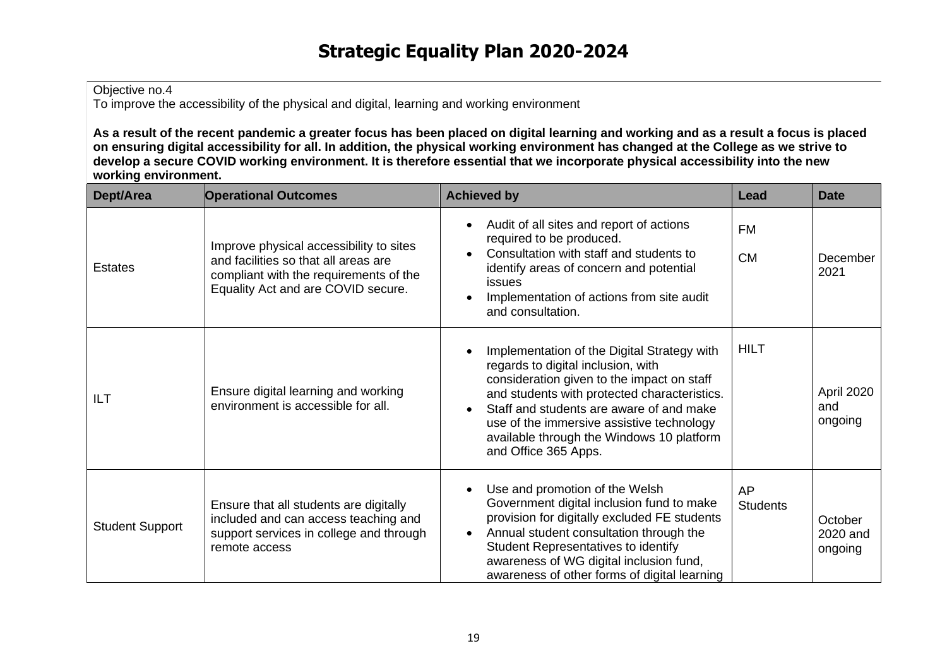To improve the accessibility of the physical and digital, learning and working environment

**As a result of the recent pandemic a greater focus has been placed on digital learning and working and as a result a focus is placed on ensuring digital accessibility for all. In addition, the physical working environment has changed at the College as we strive to develop a secure COVID working environment. It is therefore essential that we incorporate physical accessibility into the new working environment.**

| Dept/Area              | <b>Operational Outcomes</b>                                                                                                                                     | <b>Achieved by</b>                                                                                                                                                                                                                                                                                                                            | Lead                         | <b>Date</b>                    |
|------------------------|-----------------------------------------------------------------------------------------------------------------------------------------------------------------|-----------------------------------------------------------------------------------------------------------------------------------------------------------------------------------------------------------------------------------------------------------------------------------------------------------------------------------------------|------------------------------|--------------------------------|
| <b>Estates</b>         | Improve physical accessibility to sites<br>and facilities so that all areas are<br>compliant with the requirements of the<br>Equality Act and are COVID secure. | Audit of all sites and report of actions<br>required to be produced.<br>Consultation with staff and students to<br>identify areas of concern and potential<br>issues<br>Implementation of actions from site audit<br>and consultation.                                                                                                        | <b>FM</b><br><b>CM</b>       | December<br>2021               |
| ILT                    | Ensure digital learning and working<br>environment is accessible for all.                                                                                       | Implementation of the Digital Strategy with<br>regards to digital inclusion, with<br>consideration given to the impact on staff<br>and students with protected characteristics.<br>Staff and students are aware of and make<br>use of the immersive assistive technology<br>available through the Windows 10 platform<br>and Office 365 Apps. | <b>HILT</b>                  | April 2020<br>and<br>ongoing   |
| <b>Student Support</b> | Ensure that all students are digitally<br>included and can access teaching and<br>support services in college and through<br>remote access                      | Use and promotion of the Welsh<br>Government digital inclusion fund to make<br>provision for digitally excluded FE students<br>Annual student consultation through the<br>$\bullet$<br><b>Student Representatives to identify</b><br>awareness of WG digital inclusion fund,<br>awareness of other forms of digital learning                  | <b>AP</b><br><b>Students</b> | October<br>2020 and<br>ongoing |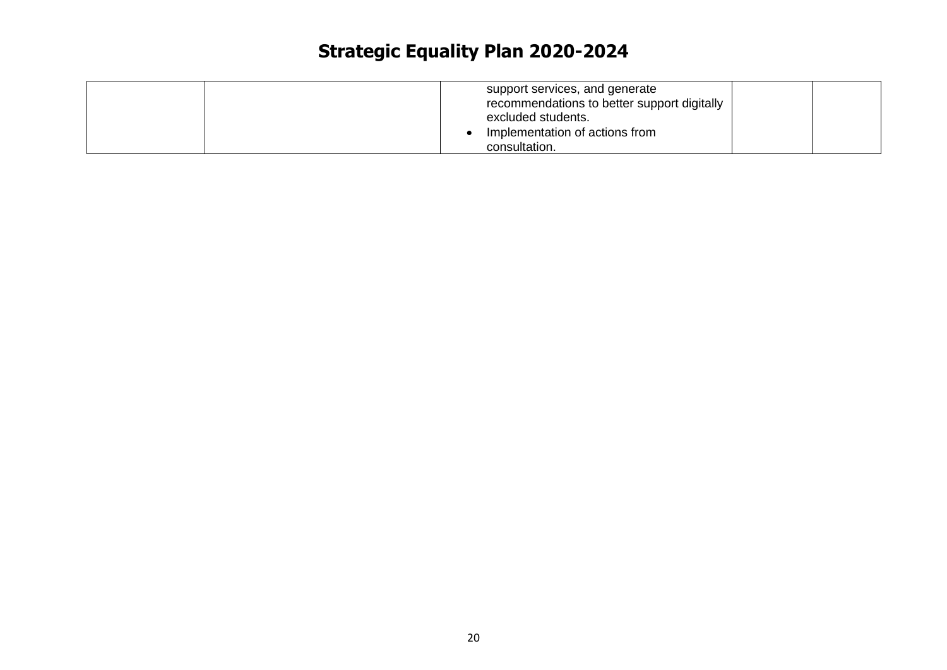| support services, and generate<br>recommendations to better support digitally<br>excluded students.<br>Implementation of actions from<br>consultation. |  |
|--------------------------------------------------------------------------------------------------------------------------------------------------------|--|
|--------------------------------------------------------------------------------------------------------------------------------------------------------|--|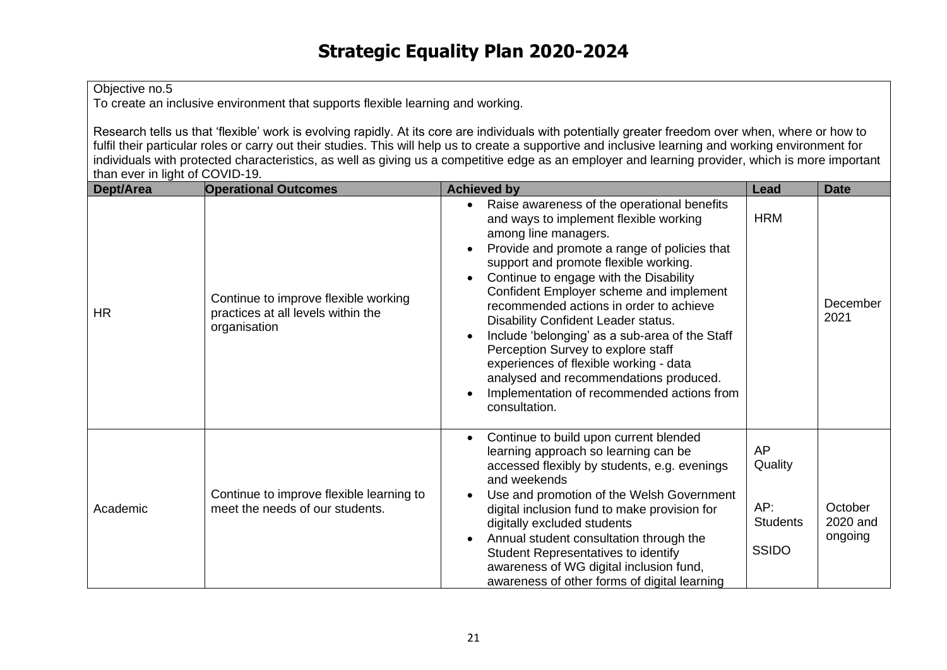To create an inclusive environment that supports flexible learning and working.

Research tells us that 'flexible' work is evolving rapidly. At its core are individuals with potentially greater freedom over when, where or how to fulfil their particular roles or carry out their studies. This will help us to create a supportive and inclusive learning and working environment for individuals with protected characteristics, as well as giving us a competitive edge as an employer and learning provider, which is more important than ever in light of COVID-19.

| Dept/Area | <b>Operational Outcomes</b>                                                                | <b>Achieved by</b>                                                                                                                                                                                                                                                                                                                                                                                                                                                                                                                                                                                                       | Lead                                                           | <b>Date</b>                    |
|-----------|--------------------------------------------------------------------------------------------|--------------------------------------------------------------------------------------------------------------------------------------------------------------------------------------------------------------------------------------------------------------------------------------------------------------------------------------------------------------------------------------------------------------------------------------------------------------------------------------------------------------------------------------------------------------------------------------------------------------------------|----------------------------------------------------------------|--------------------------------|
| <b>HR</b> | Continue to improve flexible working<br>practices at all levels within the<br>organisation | Raise awareness of the operational benefits<br>and ways to implement flexible working<br>among line managers.<br>Provide and promote a range of policies that<br>support and promote flexible working.<br>Continue to engage with the Disability<br>Confident Employer scheme and implement<br>recommended actions in order to achieve<br>Disability Confident Leader status.<br>Include 'belonging' as a sub-area of the Staff<br>Perception Survey to explore staff<br>experiences of flexible working - data<br>analysed and recommendations produced.<br>Implementation of recommended actions from<br>consultation. | <b>HRM</b>                                                     | December<br>2021               |
| Academic  | Continue to improve flexible learning to<br>meet the needs of our students.                | Continue to build upon current blended<br>learning approach so learning can be<br>accessed flexibly by students, e.g. evenings<br>and weekends<br>Use and promotion of the Welsh Government<br>digital inclusion fund to make provision for<br>digitally excluded students<br>Annual student consultation through the<br>Student Representatives to identify<br>awareness of WG digital inclusion fund,<br>awareness of other forms of digital learning                                                                                                                                                                  | <b>AP</b><br>Quality<br>AP:<br><b>Students</b><br><b>SSIDO</b> | October<br>2020 and<br>ongoing |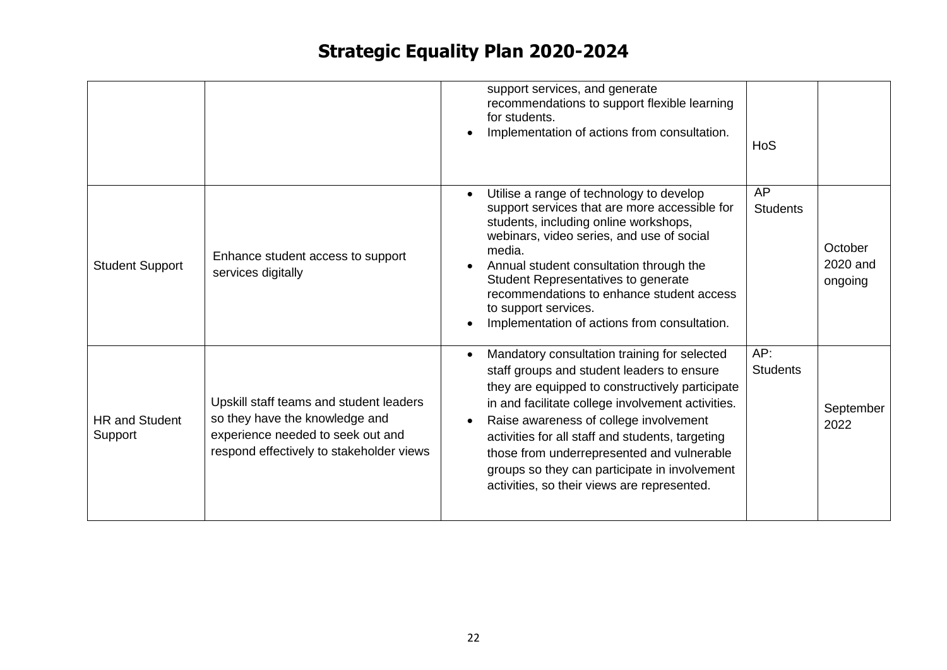|                                  |                                                                                                                                                            | support services, and generate<br>recommendations to support flexible learning<br>for students.<br>Implementation of actions from consultation.                                                                                                                                                                                                                                                                                                | <b>HoS</b>             |                                |
|----------------------------------|------------------------------------------------------------------------------------------------------------------------------------------------------------|------------------------------------------------------------------------------------------------------------------------------------------------------------------------------------------------------------------------------------------------------------------------------------------------------------------------------------------------------------------------------------------------------------------------------------------------|------------------------|--------------------------------|
| <b>Student Support</b>           | Enhance student access to support<br>services digitally                                                                                                    | Utilise a range of technology to develop<br>support services that are more accessible for<br>students, including online workshops,<br>webinars, video series, and use of social<br>media.<br>Annual student consultation through the<br>Student Representatives to generate<br>recommendations to enhance student access<br>to support services.<br>Implementation of actions from consultation.                                               | AP<br><b>Students</b>  | October<br>2020 and<br>ongoing |
| <b>HR and Student</b><br>Support | Upskill staff teams and student leaders<br>so they have the knowledge and<br>experience needed to seek out and<br>respond effectively to stakeholder views | Mandatory consultation training for selected<br>staff groups and student leaders to ensure<br>they are equipped to constructively participate<br>in and facilitate college involvement activities.<br>Raise awareness of college involvement<br>activities for all staff and students, targeting<br>those from underrepresented and vulnerable<br>groups so they can participate in involvement<br>activities, so their views are represented. | AP:<br><b>Students</b> | September<br>2022              |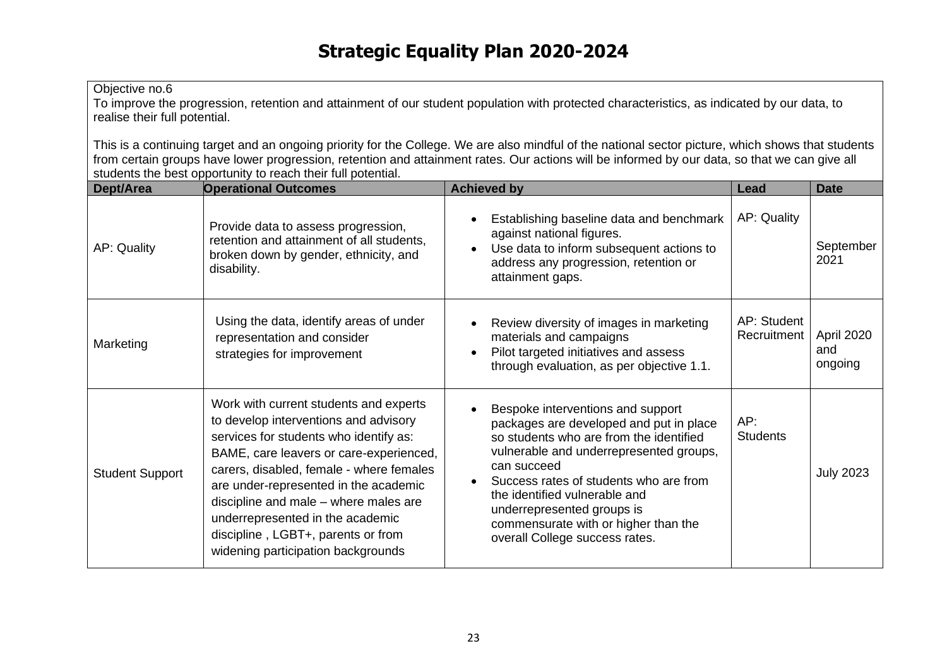To improve the progression, retention and attainment of our student population with protected characteristics, as indicated by our data, to realise their full potential.

This is a continuing target and an ongoing priority for the College. We are also mindful of the national sector picture, which shows that students from certain groups have lower progression, retention and attainment rates. Our actions will be informed by our data, so that we can give all students the best opportunity to reach their full potential.

| Dept/Area              | <b>Operational Outcomes</b>                                                                                                                                                                                                                                                                                                                                                                                        | <b>Achieved by</b>                                                                                                                                                                                                                                                                                                                                                   | Lead                       | <b>Date</b>                  |
|------------------------|--------------------------------------------------------------------------------------------------------------------------------------------------------------------------------------------------------------------------------------------------------------------------------------------------------------------------------------------------------------------------------------------------------------------|----------------------------------------------------------------------------------------------------------------------------------------------------------------------------------------------------------------------------------------------------------------------------------------------------------------------------------------------------------------------|----------------------------|------------------------------|
| AP: Quality            | Provide data to assess progression,<br>retention and attainment of all students,<br>broken down by gender, ethnicity, and<br>disability.                                                                                                                                                                                                                                                                           | Establishing baseline data and benchmark<br>against national figures.<br>Use data to inform subsequent actions to<br>$\bullet$<br>address any progression, retention or<br>attainment gaps.                                                                                                                                                                          | AP: Quality                | September<br>2021            |
| Marketing              | Using the data, identify areas of under<br>representation and consider<br>strategies for improvement                                                                                                                                                                                                                                                                                                               | Review diversity of images in marketing<br>materials and campaigns<br>Pilot targeted initiatives and assess<br>through evaluation, as per objective 1.1.                                                                                                                                                                                                             | AP: Student<br>Recruitment | April 2020<br>and<br>ongoing |
| <b>Student Support</b> | Work with current students and experts<br>to develop interventions and advisory<br>services for students who identify as:<br>BAME, care leavers or care-experienced,<br>carers, disabled, female - where females<br>are under-represented in the academic<br>discipline and male – where males are<br>underrepresented in the academic<br>discipline, LGBT+, parents or from<br>widening participation backgrounds | Bespoke interventions and support<br>packages are developed and put in place<br>so students who are from the identified<br>vulnerable and underrepresented groups,<br>can succeed<br>Success rates of students who are from<br>the identified vulnerable and<br>underrepresented groups is<br>commensurate with or higher than the<br>overall College success rates. | AP:<br><b>Students</b>     | <b>July 2023</b>             |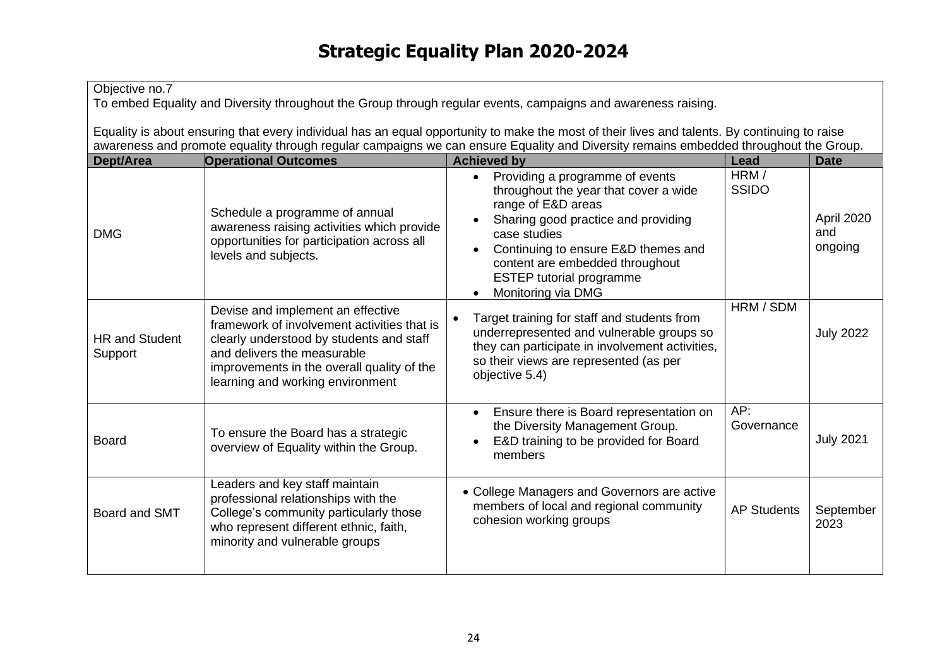| Objective no.7<br>To embed Equality and Diversity throughout the Group through regular events, campaigns and awareness raising.                                                                                                                                                       |                                                                                                                                                                                                                                               |                                                                                                                                                                                                                                                                                                                                              |                      |                              |
|---------------------------------------------------------------------------------------------------------------------------------------------------------------------------------------------------------------------------------------------------------------------------------------|-----------------------------------------------------------------------------------------------------------------------------------------------------------------------------------------------------------------------------------------------|----------------------------------------------------------------------------------------------------------------------------------------------------------------------------------------------------------------------------------------------------------------------------------------------------------------------------------------------|----------------------|------------------------------|
| Equality is about ensuring that every individual has an equal opportunity to make the most of their lives and talents. By continuing to raise<br>awareness and promote equality through regular campaigns we can ensure Equality and Diversity remains embedded throughout the Group. |                                                                                                                                                                                                                                               |                                                                                                                                                                                                                                                                                                                                              |                      |                              |
| <b>Operational Outcomes</b><br><b>Achieved by</b><br>Dept/Area<br>Lead                                                                                                                                                                                                                |                                                                                                                                                                                                                                               |                                                                                                                                                                                                                                                                                                                                              | <b>Date</b>          |                              |
| <b>DMG</b>                                                                                                                                                                                                                                                                            | Schedule a programme of annual<br>awareness raising activities which provide<br>opportunities for participation across all<br>levels and subjects.                                                                                            | Providing a programme of events<br>$\bullet$<br>throughout the year that cover a wide<br>range of E&D areas<br>Sharing good practice and providing<br>$\bullet$<br>case studies<br>Continuing to ensure E&D themes and<br>$\bullet$<br>content are embedded throughout<br><b>ESTEP tutorial programme</b><br>Monitoring via DMG<br>$\bullet$ | HRM/<br><b>SSIDO</b> | April 2020<br>and<br>ongoing |
| <b>HR and Student</b><br>Support                                                                                                                                                                                                                                                      | Devise and implement an effective<br>framework of involvement activities that is<br>clearly understood by students and staff<br>and delivers the measurable<br>improvements in the overall quality of the<br>learning and working environment | Target training for staff and students from<br>underrepresented and vulnerable groups so<br>they can participate in involvement activities,<br>so their views are represented (as per<br>objective 5.4)                                                                                                                                      | HRM / SDM            | <b>July 2022</b>             |
| <b>Board</b>                                                                                                                                                                                                                                                                          | To ensure the Board has a strategic<br>overview of Equality within the Group.                                                                                                                                                                 | Ensure there is Board representation on<br>$\bullet$<br>the Diversity Management Group.<br>E&D training to be provided for Board<br>$\bullet$<br>members                                                                                                                                                                                     | AP:<br>Governance    | <b>July 2021</b>             |
| Board and SMT                                                                                                                                                                                                                                                                         | Leaders and key staff maintain<br>professional relationships with the<br>College's community particularly those<br>who represent different ethnic, faith,<br>minority and vulnerable groups                                                   | • College Managers and Governors are active<br>members of local and regional community<br>cohesion working groups                                                                                                                                                                                                                            | <b>AP Students</b>   | September<br>2023            |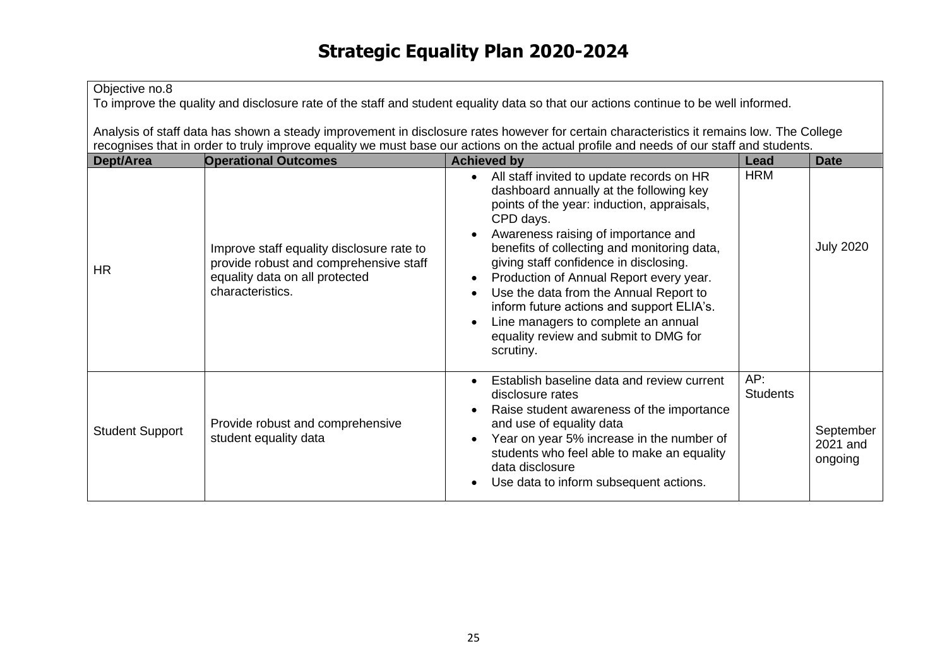## Objective no.8

To improve the quality and disclosure rate of the staff and student equality data so that our actions continue to be well informed.

Analysis of staff data has shown a steady improvement in disclosure rates however for certain characteristics it remains low. The College recognises that in order to truly improve equality we must base our actions on the actual profile and needs of our staff and students.

| <b>Dept/Area</b>       | <b>Operational Outcomes</b>                                                                                                               | <b>Achieved by</b>                                                                                                                                                                                                                                                                                                                                                                                                                                                                                                                                                              | Lead                   | <b>Date</b>                      |
|------------------------|-------------------------------------------------------------------------------------------------------------------------------------------|---------------------------------------------------------------------------------------------------------------------------------------------------------------------------------------------------------------------------------------------------------------------------------------------------------------------------------------------------------------------------------------------------------------------------------------------------------------------------------------------------------------------------------------------------------------------------------|------------------------|----------------------------------|
| <b>HR</b>              | Improve staff equality disclosure rate to<br>provide robust and comprehensive staff<br>equality data on all protected<br>characteristics. | All staff invited to update records on HR<br>$\bullet$<br>dashboard annually at the following key<br>points of the year: induction, appraisals,<br>CPD days.<br>Awareness raising of importance and<br>$\bullet$<br>benefits of collecting and monitoring data,<br>giving staff confidence in disclosing.<br>Production of Annual Report every year.<br>$\bullet$<br>Use the data from the Annual Report to<br>$\bullet$<br>inform future actions and support ELIA's.<br>Line managers to complete an annual<br>$\bullet$<br>equality review and submit to DMG for<br>scrutiny. | <b>HRM</b>             | <b>July 2020</b>                 |
| <b>Student Support</b> | Provide robust and comprehensive<br>student equality data                                                                                 | Establish baseline data and review current<br>$\bullet$<br>disclosure rates<br>Raise student awareness of the importance<br>and use of equality data<br>Year on year 5% increase in the number of<br>$\bullet$<br>students who feel able to make an equality<br>data disclosure<br>Use data to inform subsequent actions.<br>$\bullet$                                                                                                                                                                                                                                          | AP:<br><b>Students</b> | September<br>2021 and<br>ongoing |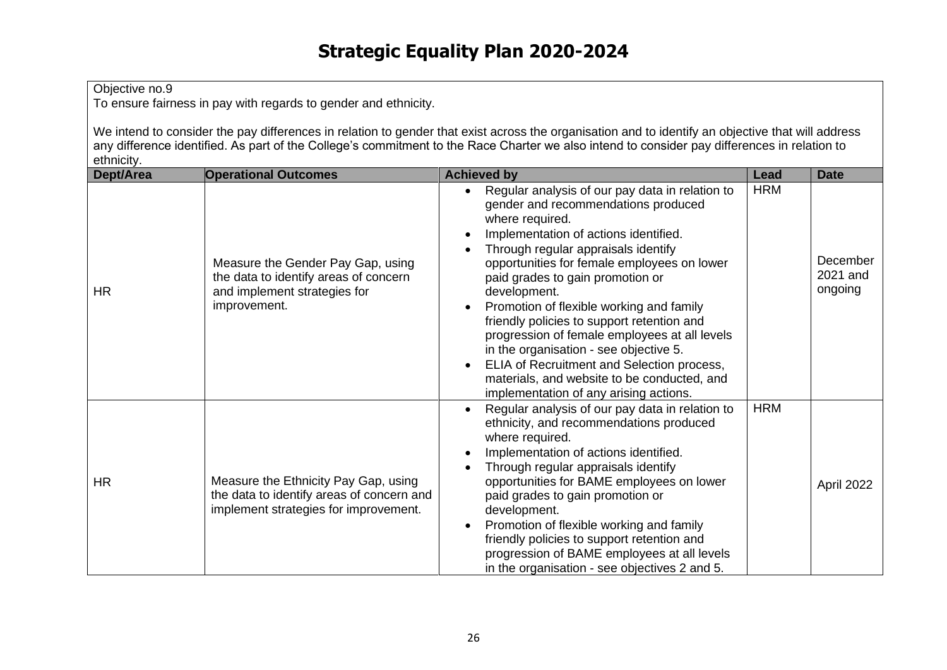To ensure fairness in pay with regards to gender and ethnicity.

We intend to consider the pay differences in relation to gender that exist across the organisation and to identify an objective that will address any difference identified. As part of the College's commitment to the Race Charter we also intend to consider pay differences in relation to ethnicity.

| Dept/Area | <b>Operational Outcomes</b>                                                                                                | <b>Achieved by</b>                                                                                                                                                                                                                                                                                                                                                                                                                                                                                                                                                                                                       | Lead       | <b>Date</b>                     |
|-----------|----------------------------------------------------------------------------------------------------------------------------|--------------------------------------------------------------------------------------------------------------------------------------------------------------------------------------------------------------------------------------------------------------------------------------------------------------------------------------------------------------------------------------------------------------------------------------------------------------------------------------------------------------------------------------------------------------------------------------------------------------------------|------------|---------------------------------|
| <b>HR</b> | Measure the Gender Pay Gap, using<br>the data to identify areas of concern<br>and implement strategies for<br>improvement. | Regular analysis of our pay data in relation to<br>gender and recommendations produced<br>where required.<br>Implementation of actions identified.<br>Through regular appraisals identify<br>opportunities for female employees on lower<br>paid grades to gain promotion or<br>development.<br>Promotion of flexible working and family<br>friendly policies to support retention and<br>progression of female employees at all levels<br>in the organisation - see objective 5.<br>ELIA of Recruitment and Selection process,<br>materials, and website to be conducted, and<br>implementation of any arising actions. | <b>HRM</b> | December<br>2021 and<br>ongoing |
| <b>HR</b> | Measure the Ethnicity Pay Gap, using<br>the data to identify areas of concern and<br>implement strategies for improvement. | Regular analysis of our pay data in relation to<br>ethnicity, and recommendations produced<br>where required.<br>Implementation of actions identified.<br>Through regular appraisals identify<br>opportunities for BAME employees on lower<br>paid grades to gain promotion or<br>development.<br>Promotion of flexible working and family<br>friendly policies to support retention and<br>progression of BAME employees at all levels<br>in the organisation - see objectives 2 and 5.                                                                                                                                 | <b>HRM</b> | April 2022                      |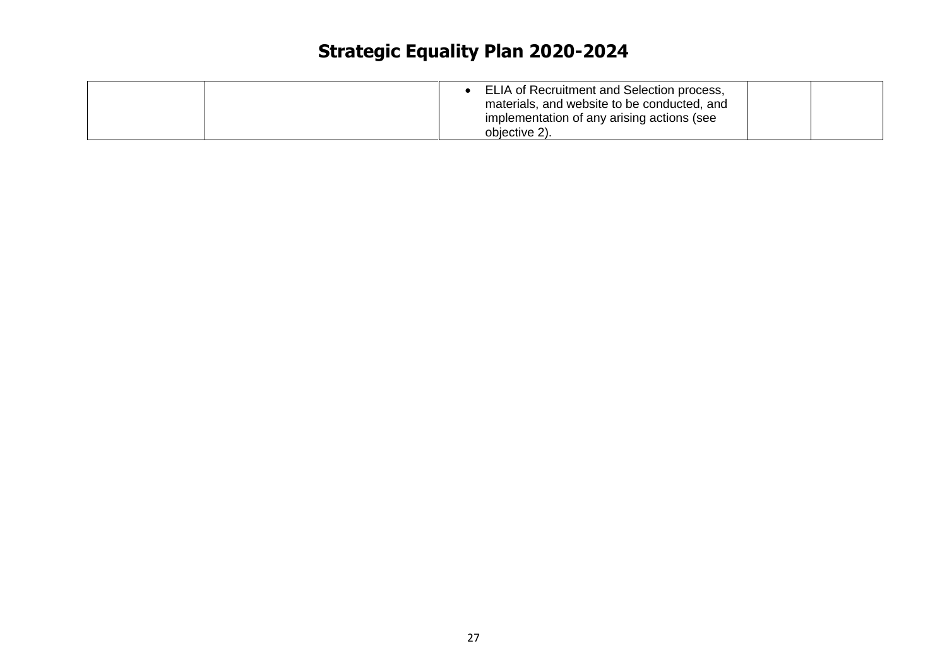|  | ELIA of Recruitment and Selection process,<br>materials, and website to be conducted, and<br>implementation of any arising actions (see |  |
|--|-----------------------------------------------------------------------------------------------------------------------------------------|--|
|  | objective 2).                                                                                                                           |  |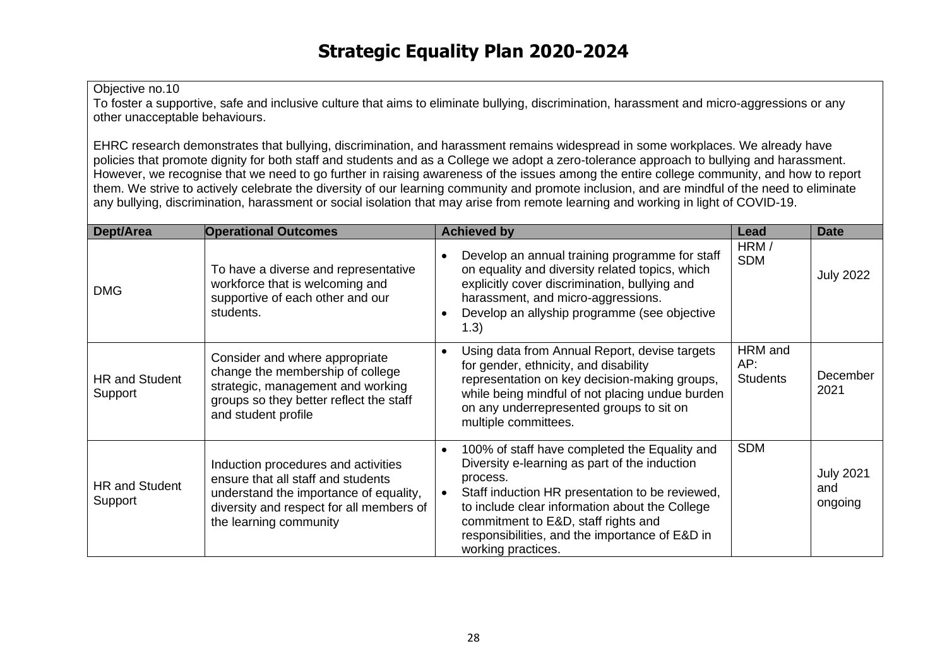To foster a supportive, safe and inclusive culture that aims to eliminate bullying, discrimination, harassment and micro-aggressions or any other unacceptable behaviours.

EHRC research demonstrates that bullying, discrimination, and harassment remains widespread in some workplaces. We already have policies that promote dignity for both staff and students and as a College we adopt a zero-tolerance approach to bullying and harassment. However, we recognise that we need to go further in raising awareness of the issues among the entire college community, and how to report them. We strive to actively celebrate the diversity of our learning community and promote inclusion, and are mindful of the need to eliminate any bullying, discrimination, harassment or social isolation that may arise from remote learning and working in light of COVID-19.

| Dept/Area                        | <b>Operational Outcomes</b>                                                                                                                                                               | <b>Achieved by</b>                                                                                                                                                                                                                                                                                                             | Lead                              | <b>Date</b>                        |
|----------------------------------|-------------------------------------------------------------------------------------------------------------------------------------------------------------------------------------------|--------------------------------------------------------------------------------------------------------------------------------------------------------------------------------------------------------------------------------------------------------------------------------------------------------------------------------|-----------------------------------|------------------------------------|
| <b>DMG</b>                       | To have a diverse and representative<br>workforce that is welcoming and<br>supportive of each other and our<br>students.                                                                  | Develop an annual training programme for staff<br>on equality and diversity related topics, which<br>explicitly cover discrimination, bullying and<br>harassment, and micro-aggressions.<br>Develop an allyship programme (see objective<br>(1.3)                                                                              | HRM/<br><b>SDM</b>                | <b>July 2022</b>                   |
| <b>HR and Student</b><br>Support | Consider and where appropriate<br>change the membership of college<br>strategic, management and working<br>groups so they better reflect the staff<br>and student profile                 | Using data from Annual Report, devise targets<br>for gender, ethnicity, and disability<br>representation on key decision-making groups,<br>while being mindful of not placing undue burden<br>on any underrepresented groups to sit on<br>multiple committees.                                                                 | HRM and<br>AP:<br><b>Students</b> | December<br>2021                   |
| <b>HR and Student</b><br>Support | Induction procedures and activities<br>ensure that all staff and students<br>understand the importance of equality,<br>diversity and respect for all members of<br>the learning community | 100% of staff have completed the Equality and<br>Diversity e-learning as part of the induction<br>process.<br>Staff induction HR presentation to be reviewed,<br>to include clear information about the College<br>commitment to E&D, staff rights and<br>responsibilities, and the importance of E&D in<br>working practices. | <b>SDM</b>                        | <b>July 2021</b><br>and<br>ongoing |